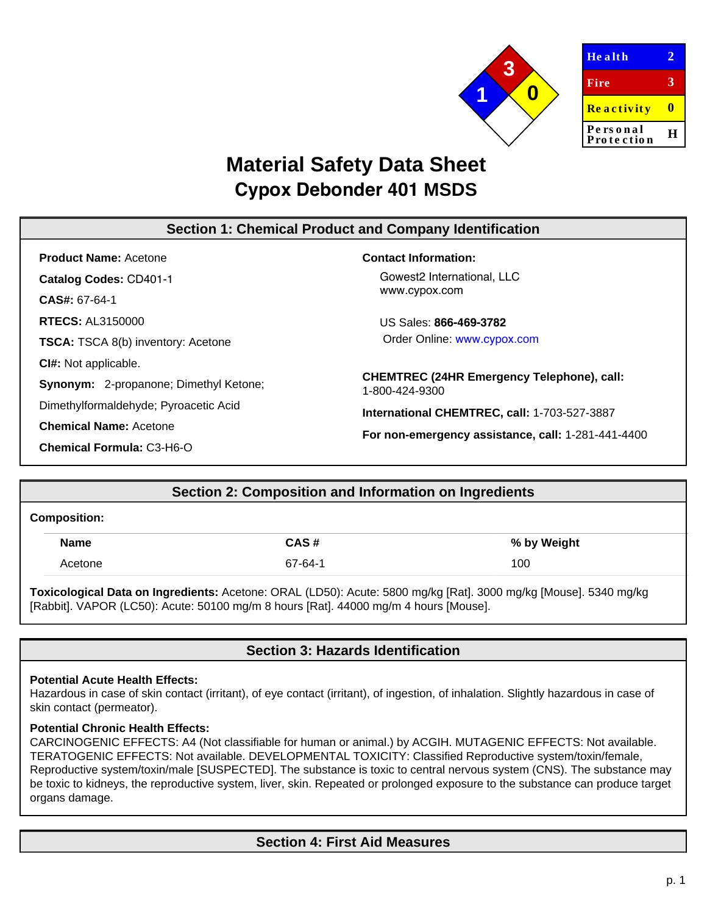

**2**

**3**

**0**

**H**

# **Material Safety Data Sheet Cypox Debonder 401 MSDS**

# **Section 1: Chemical Product and Company Identification**

**Product Name:** Acetone **Catalog Codes:** CD401-1 **CAS#:** 67-64-1 **RTECS:** AL3150000 **TSCA:** TSCA 8(b) inventory: Acetone **CI#:** Not applicable. **Synonym:** 2-propanone; Dimethyl Ketone; Dimethylformaldehyde; Pyroacetic Acid **Chemical Name:** Acetone

**Chemical Formula:** C3-H6-O

### **Contact Information:**

Gowest2 International, LLC www.cypox.com

US Sales: **866-469-3782** Order Online: www.cypox.com

**CHEMTREC (24HR Emergency Telephone), call:** 1-800-424-9300

**International CHEMTREC, call:** 1-703-527-3887

**For non-emergency assistance, call:** 1-281-441-4400

# **Section 2: Composition and Information on Ingredients**

### **Composition:**

| <b>Name</b> | CAS#    | % by Weight |
|-------------|---------|-------------|
| Acetone     | 67-64-1 | 100         |

**Toxicological Data on Ingredients:** Acetone: ORAL (LD50): Acute: 5800 mg/kg [Rat]. 3000 mg/kg [Mouse]. 5340 mg/kg [Rabbit]. VAPOR (LC50): Acute: 50100 mg/m 8 hours [Rat]. 44000 mg/m 4 hours [Mouse].

# **Section 3: Hazards Identification**

### **Potential Acute Health Effects:**

Hazardous in case of skin contact (irritant), of eye contact (irritant), of ingestion, of inhalation. Slightly hazardous in case of skin contact (permeator).

### **Potential Chronic Health Effects:**

CARCINOGENIC EFFECTS: A4 (Not classifiable for human or animal.) by ACGIH. MUTAGENIC EFFECTS: Not available. TERATOGENIC EFFECTS: Not available. DEVELOPMENTAL TOXICITY: Classified Reproductive system/toxin/female, Reproductive system/toxin/male [SUSPECTED]. The substance is toxic to central nervous system (CNS). The substance may be toxic to kidneys, the reproductive system, liver, skin. Repeated or prolonged exposure to the substance can produce target organs damage.

# **Section 4: First Aid Measures**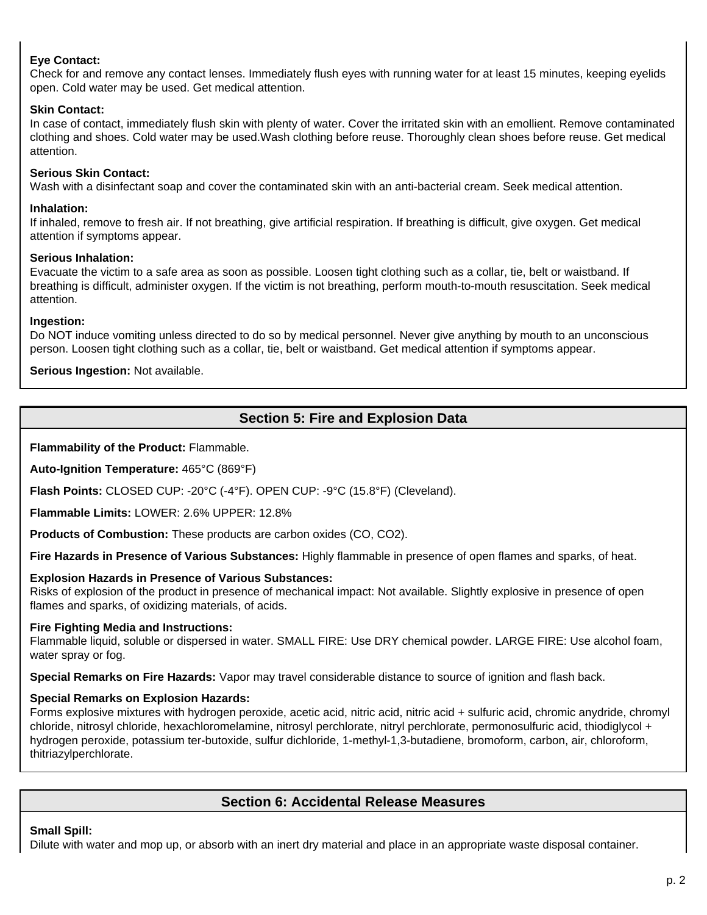### **Eye Contact:**

Check for and remove any contact lenses. Immediately flush eyes with running water for at least 15 minutes, keeping eyelids open. Cold water may be used. Get medical attention.

### **Skin Contact:**

In case of contact, immediately flush skin with plenty of water. Cover the irritated skin with an emollient. Remove contaminated clothing and shoes. Cold water may be used.Wash clothing before reuse. Thoroughly clean shoes before reuse. Get medical attention.

### **Serious Skin Contact:**

Wash with a disinfectant soap and cover the contaminated skin with an anti-bacterial cream. Seek medical attention.

### **Inhalation:**

If inhaled, remove to fresh air. If not breathing, give artificial respiration. If breathing is difficult, give oxygen. Get medical attention if symptoms appear.

### **Serious Inhalation:**

Evacuate the victim to a safe area as soon as possible. Loosen tight clothing such as a collar, tie, belt or waistband. If breathing is difficult, administer oxygen. If the victim is not breathing, perform mouth-to-mouth resuscitation. Seek medical attention.

### **Ingestion:**

Do NOT induce vomiting unless directed to do so by medical personnel. Never give anything by mouth to an unconscious person. Loosen tight clothing such as a collar, tie, belt or waistband. Get medical attention if symptoms appear.

**Serious Ingestion:** Not available.

# **Section 5: Fire and Explosion Data**

**Flammability of the Product:** Flammable.

**Auto-Ignition Temperature:** 465°C (869°F)

**Flash Points:** CLOSED CUP: -20°C (-4°F). OPEN CUP: -9°C (15.8°F) (Cleveland).

**Flammable Limits:** LOWER: 2.6% UPPER: 12.8%

**Products of Combustion:** These products are carbon oxides (CO, CO2).

**Fire Hazards in Presence of Various Substances:** Highly flammable in presence of open flames and sparks, of heat.

### **Explosion Hazards in Presence of Various Substances:**

Risks of explosion of the product in presence of mechanical impact: Not available. Slightly explosive in presence of open flames and sparks, of oxidizing materials, of acids.

### **Fire Fighting Media and Instructions:**

Flammable liquid, soluble or dispersed in water. SMALL FIRE: Use DRY chemical powder. LARGE FIRE: Use alcohol foam, water spray or fog.

**Special Remarks on Fire Hazards:** Vapor may travel considerable distance to source of ignition and flash back.

### **Special Remarks on Explosion Hazards:**

Forms explosive mixtures with hydrogen peroxide, acetic acid, nitric acid, nitric acid + sulfuric acid, chromic anydride, chromyl chloride, nitrosyl chloride, hexachloromelamine, nitrosyl perchlorate, nitryl perchlorate, permonosulfuric acid, thiodiglycol + hydrogen peroxide, potassium ter-butoxide, sulfur dichloride, 1-methyl-1,3-butadiene, bromoform, carbon, air, chloroform, thitriazylperchlorate.

### **Section 6: Accidental Release Measures**

### **Small Spill:**

Dilute with water and mop up, or absorb with an inert dry material and place in an appropriate waste disposal container.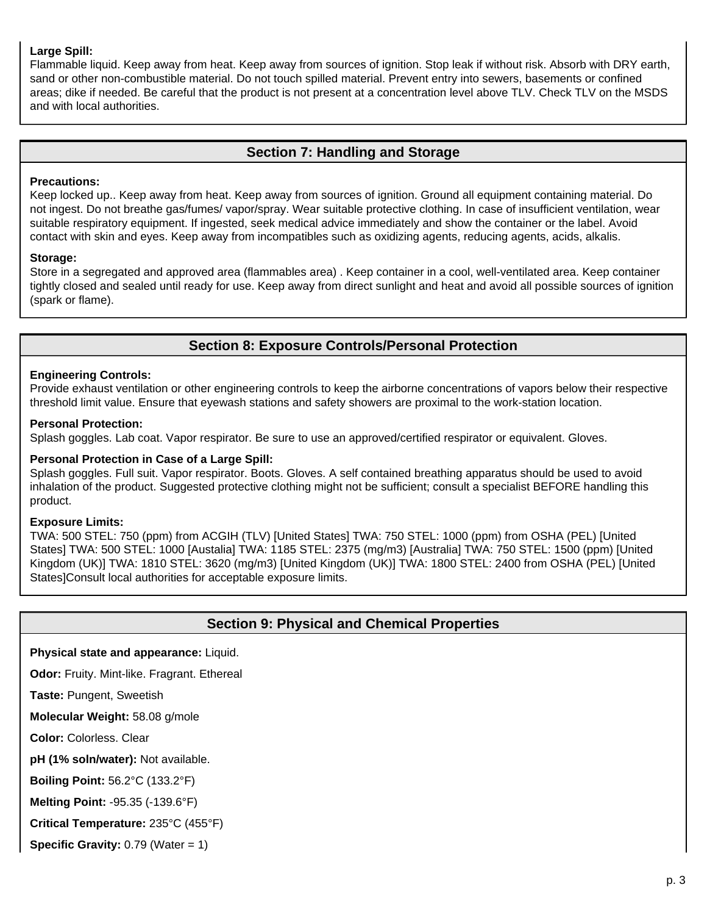### **Large Spill:**

Flammable liquid. Keep away from heat. Keep away from sources of ignition. Stop leak if without risk. Absorb with DRY earth, sand or other non-combustible material. Do not touch spilled material. Prevent entry into sewers, basements or confined areas; dike if needed. Be careful that the product is not present at a concentration level above TLV. Check TLV on the MSDS and with local authorities.

### **Section 7: Handling and Storage**

### **Precautions:**

Keep locked up.. Keep away from heat. Keep away from sources of ignition. Ground all equipment containing material. Do not ingest. Do not breathe gas/fumes/ vapor/spray. Wear suitable protective clothing. In case of insufficient ventilation, wear suitable respiratory equipment. If ingested, seek medical advice immediately and show the container or the label. Avoid contact with skin and eyes. Keep away from incompatibles such as oxidizing agents, reducing agents, acids, alkalis.

### **Storage:**

Store in a segregated and approved area (flammables area) . Keep container in a cool, well-ventilated area. Keep container tightly closed and sealed until ready for use. Keep away from direct sunlight and heat and avoid all possible sources of ignition (spark or flame).

# **Section 8: Exposure Controls/Personal Protection**

### **Engineering Controls:**

Provide exhaust ventilation or other engineering controls to keep the airborne concentrations of vapors below their respective threshold limit value. Ensure that eyewash stations and safety showers are proximal to the work-station location.

### **Personal Protection:**

Splash goggles. Lab coat. Vapor respirator. Be sure to use an approved/certified respirator or equivalent. Gloves.

### **Personal Protection in Case of a Large Spill:**

Splash goggles. Full suit. Vapor respirator. Boots. Gloves. A self contained breathing apparatus should be used to avoid inhalation of the product. Suggested protective clothing might not be sufficient; consult a specialist BEFORE handling this product.

### **Exposure Limits:**

TWA: 500 STEL: 750 (ppm) from ACGIH (TLV) [United States] TWA: 750 STEL: 1000 (ppm) from OSHA (PEL) [United States] TWA: 500 STEL: 1000 [Austalia] TWA: 1185 STEL: 2375 (mg/m3) [Australia] TWA: 750 STEL: 1500 (ppm) [United Kingdom (UK)] TWA: 1810 STEL: 3620 (mg/m3) [United Kingdom (UK)] TWA: 1800 STEL: 2400 from OSHA (PEL) [United States]Consult local authorities for acceptable exposure limits.

### **Section 9: Physical and Chemical Properties**

### **Physical state and appearance:** Liquid.

**Odor:** Fruity. Mint-like. Fragrant. Ethereal

**Taste:** Pungent, Sweetish

**Molecular Weight:** 58.08 g/mole

**Color:** Colorless. Clear

**pH (1% soln/water):** Not available.

**Boiling Point:** 56.2°C (133.2°F)

**Melting Point:** -95.35 (-139.6°F)

**Critical Temperature:** 235°C (455°F)

**Specific Gravity:** 0.79 (Water = 1)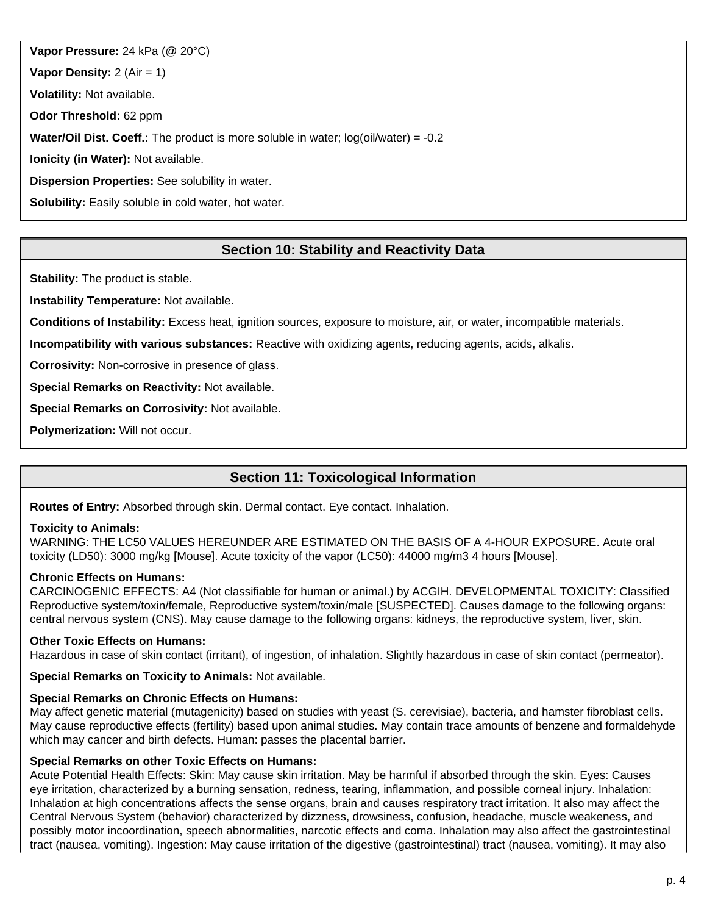**Vapor Pressure:** 24 kPa (@ 20°C) **Vapor Density:** 2 (Air = 1) **Volatility:** Not available. **Odor Threshold:** 62 ppm **Water/Oil Dist. Coeff.:** The product is more soluble in water; log(oil/water) = -0.2 **Ionicity (in Water):** Not available. **Dispersion Properties:** See solubility in water. **Solubility:** Easily soluble in cold water, hot water.

# **Section 10: Stability and Reactivity Data**

**Stability:** The product is stable.

**Instability Temperature:** Not available.

**Conditions of Instability:** Excess heat, ignition sources, exposure to moisture, air, or water, incompatible materials.

**Incompatibility with various substances:** Reactive with oxidizing agents, reducing agents, acids, alkalis.

**Corrosivity:** Non-corrosive in presence of glass.

**Special Remarks on Reactivity:** Not available.

**Special Remarks on Corrosivity:** Not available.

**Polymerization:** Will not occur.

# **Section 11: Toxicological Information**

**Routes of Entry:** Absorbed through skin. Dermal contact. Eye contact. Inhalation.

### **Toxicity to Animals:**

WARNING: THE LC50 VALUES HEREUNDER ARE ESTIMATED ON THE BASIS OF A 4-HOUR EXPOSURE. Acute oral toxicity (LD50): 3000 mg/kg [Mouse]. Acute toxicity of the vapor (LC50): 44000 mg/m3 4 hours [Mouse].

### **Chronic Effects on Humans:**

CARCINOGENIC EFFECTS: A4 (Not classifiable for human or animal.) by ACGIH. DEVELOPMENTAL TOXICITY: Classified Reproductive system/toxin/female, Reproductive system/toxin/male [SUSPECTED]. Causes damage to the following organs: central nervous system (CNS). May cause damage to the following organs: kidneys, the reproductive system, liver, skin.

### **Other Toxic Effects on Humans:**

Hazardous in case of skin contact (irritant), of ingestion, of inhalation. Slightly hazardous in case of skin contact (permeator).

**Special Remarks on Toxicity to Animals:** Not available.

### **Special Remarks on Chronic Effects on Humans:**

May affect genetic material (mutagenicity) based on studies with yeast (S. cerevisiae), bacteria, and hamster fibroblast cells. May cause reproductive effects (fertility) based upon animal studies. May contain trace amounts of benzene and formaldehyde which may cancer and birth defects. Human: passes the placental barrier.

### **Special Remarks on other Toxic Effects on Humans:**

Acute Potential Health Effects: Skin: May cause skin irritation. May be harmful if absorbed through the skin. Eyes: Causes eye irritation, characterized by a burning sensation, redness, tearing, inflammation, and possible corneal injury. Inhalation: Inhalation at high concentrations affects the sense organs, brain and causes respiratory tract irritation. It also may affect the Central Nervous System (behavior) characterized by dizzness, drowsiness, confusion, headache, muscle weakeness, and possibly motor incoordination, speech abnormalities, narcotic effects and coma. Inhalation may also affect the gastrointestinal tract (nausea, vomiting). Ingestion: May cause irritation of the digestive (gastrointestinal) tract (nausea, vomiting). It may also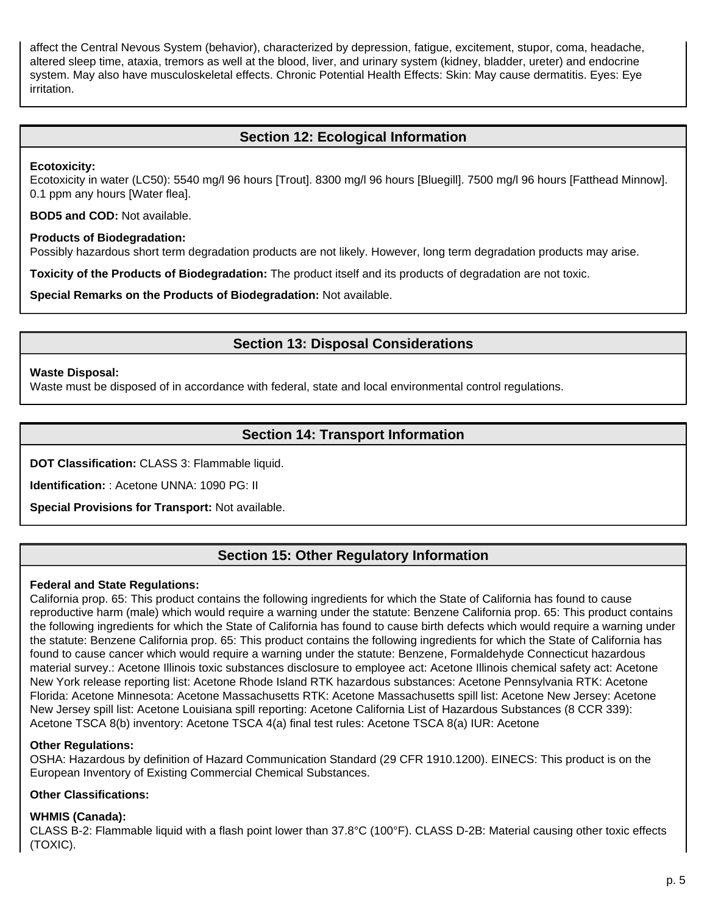affect the Central Nevous System (behavior), characterized by depression, fatigue, excitement, stupor, coma, headache, altered sleep time, ataxia, tremors as well at the blood, liver, and urinary system (kidney, bladder, ureter) and endocrine system. May also have musculoskeletal effects. Chronic Potential Health Effects: Skin: May cause dermatitis. Eyes: Eye irritation.

# **Section 12: Ecological Information**

### **Ecotoxicity:**

Ecotoxicity in water (LC50): 5540 mg/l 96 hours [Trout]. 8300 mg/l 96 hours [Bluegill]. 7500 mg/l 96 hours [Fatthead Minnow]. 0.1 ppm any hours [Water flea].

**BOD5 and COD:** Not available.

### **Products of Biodegradation:**

Possibly hazardous short term degradation products are not likely. However, long term degradation products may arise.

**Toxicity of the Products of Biodegradation:** The product itself and its products of degradation are not toxic.

**Special Remarks on the Products of Biodegradation:** Not available.

# **Section 13: Disposal Considerations**

### **Waste Disposal:**

Waste must be disposed of in accordance with federal, state and local environmental control regulations.

# **Section 14: Transport Information**

**DOT Classification:** CLASS 3: Flammable liquid.

**Identification:** : Acetone UNNA: 1090 PG: II

**Special Provisions for Transport:** Not available.

# **Section 15: Other Regulatory Information**

### **Federal and State Regulations:**

California prop. 65: This product contains the following ingredients for which the State of California has found to cause reproductive harm (male) which would require a warning under the statute: Benzene California prop. 65: This product contains the following ingredients for which the State of California has found to cause birth defects which would require a warning under the statute: Benzene California prop. 65: This product contains the following ingredients for which the State of California has found to cause cancer which would require a warning under the statute: Benzene, Formaldehyde Connecticut hazardous material survey.: Acetone Illinois toxic substances disclosure to employee act: Acetone Illinois chemical safety act: Acetone New York release reporting list: Acetone Rhode Island RTK hazardous substances: Acetone Pennsylvania RTK: Acetone Florida: Acetone Minnesota: Acetone Massachusetts RTK: Acetone Massachusetts spill list: Acetone New Jersey: Acetone New Jersey spill list: Acetone Louisiana spill reporting: Acetone California List of Hazardous Substances (8 CCR 339): Acetone TSCA 8(b) inventory: Acetone TSCA 4(a) final test rules: Acetone TSCA 8(a) IUR: Acetone

### **Other Regulations:**

OSHA: Hazardous by definition of Hazard Communication Standard (29 CFR 1910.1200). EINECS: This product is on the European Inventory of Existing Commercial Chemical Substances.

### **Other Classifications:**

### **WHMIS (Canada):**

CLASS B-2: Flammable liquid with a flash point lower than 37.8°C (100°F). CLASS D-2B: Material causing other toxic effects (TOXIC).